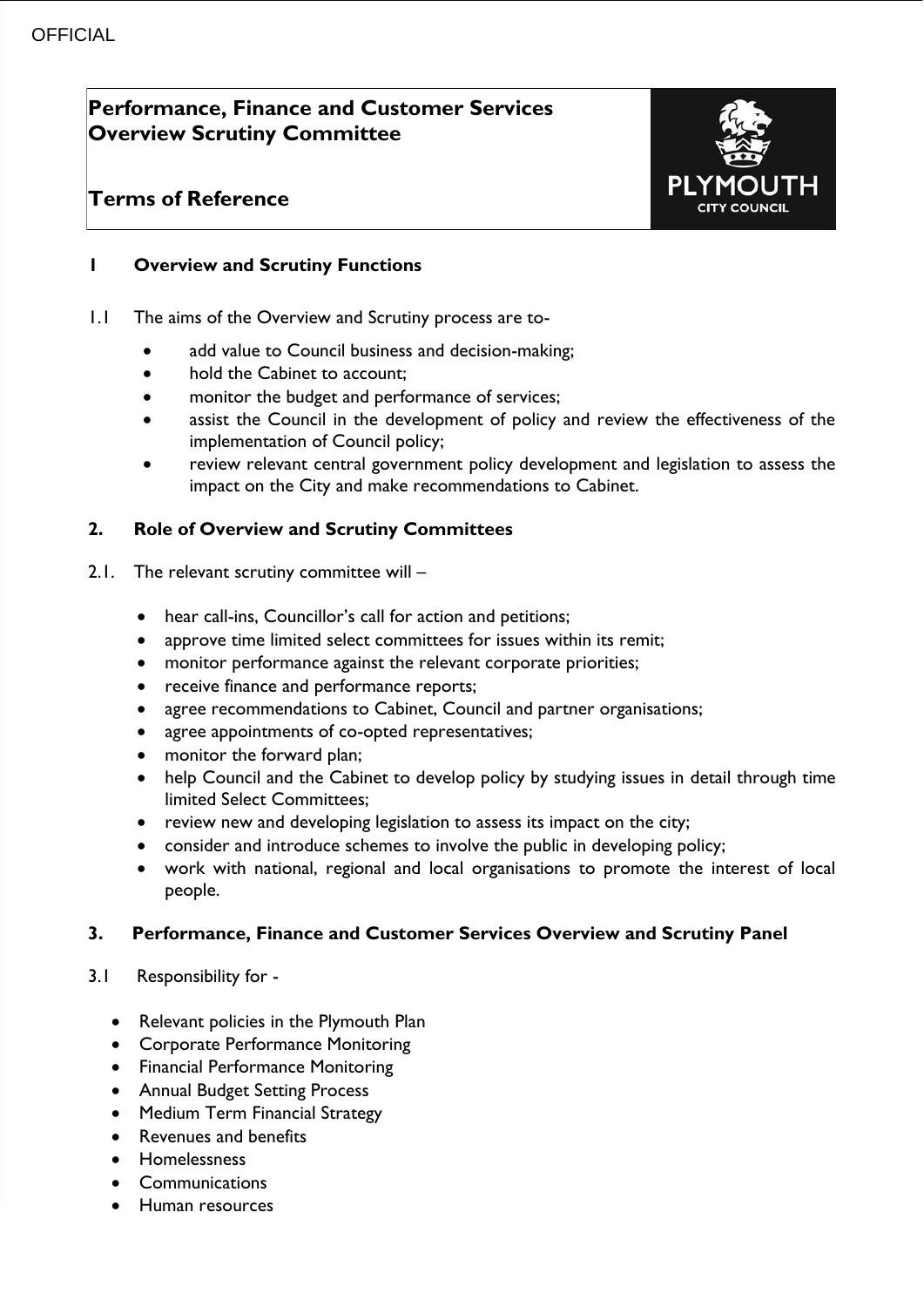# **Performance, Finance and Customer Services Overview Scrutiny Committee**

## **Terms of Reference**



## **1 Overview and Scrutiny Functions**

- 1.1 The aims of the Overview and Scrutiny process are to
	- add value to Council business and decision-making;
	- hold the Cabinet to account;
	- monitor the budget and performance of services;
	- assist the Council in the development of policy and review the effectiveness of the implementation of Council policy;
	- review relevant central government policy development and legislation to assess the impact on the City and make recommendations to Cabinet.

## **2. Role of Overview and Scrutiny Committees**

- 2.1. The relevant scrutiny committee will
	- hear call-ins, Councillor's call for action and petitions;
	- approve time limited select committees for issues within its remit;
	- monitor performance against the relevant corporate priorities;
	- receive finance and performance reports;
	- agree recommendations to Cabinet, Council and partner organisations;
	- agree appointments of co-opted representatives;
	- monitor the forward plan;
	- help Council and the Cabinet to develop policy by studying issues in detail through time limited Select Committees;
	- review new and developing legislation to assess its impact on the city;
	- consider and introduce schemes to involve the public in developing policy;
	- work with national, regional and local organisations to promote the interest of local people.

## **3. Performance, Finance and Customer Services Overview and Scrutiny Panel**

- 3.1Responsibility for
	- Relevant policies in the Plymouth Plan
	- Corporate Performance Monitoring
	- Financial Performance Monitoring
	- Annual Budget Setting Process
	- Medium Term Financial Strategy
	- Revenues and benefits
	- Homelessness
	- Communications
	- Human resources